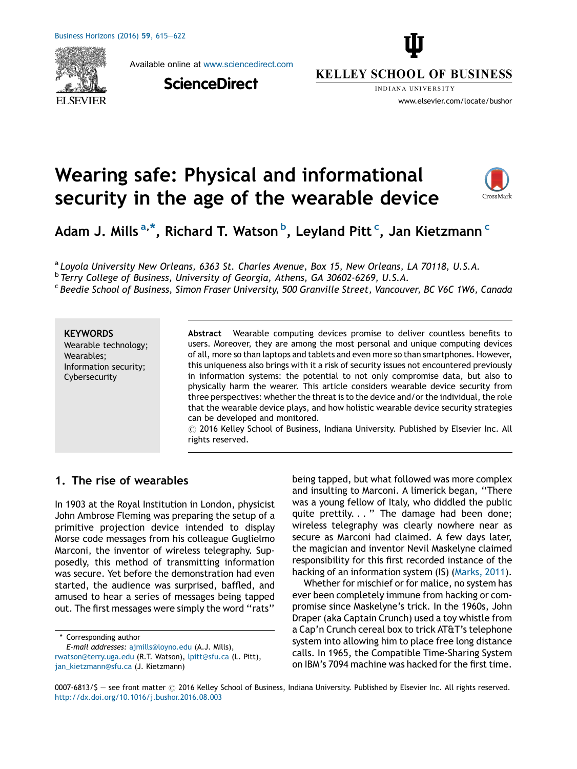

Available online at [www.sciencedirect.com](http://www.sciencedirect.com/science/journal/00076813)



**ScienceDirect** 

INDIANA UNIVERSITY www.elsevier.com/locate/bushor

# Wearing safe: Physical and informational security in the age of the wearable device



Adam J. Mills $^{\mathsf{a},\ast}$ , Richard T. Watson $^{\mathsf{b}}$ , Leyland Pitt  $^{\mathsf{c}}$ , Jan Kietzmann  $^{\mathsf{c}}$ 

<sup>a</sup> Loyola University New Orleans, 6363 St. Charles Avenue, Box 15, New Orleans, LA 70118, U.S.A.<br><sup>b</sup> Terry College of Business, University of Georgia, Athens, GA 30602-6269, U.S.A.

 $\degree$  Beedie School of Business, Simon Fraser University, 500 Granville Street, Vancouver, BC V6C 1W6, Canada

## **KEYWORDS**

Wearable technology; Wearables; Information security; Cybersecurity

Abstract Wearable computing devices promise to deliver countless benefits to users. Moreover, they are among the most personal and unique computing devices of all, more so than laptops and tablets and even more so than smartphones. However, this uniqueness also brings with it a risk of security issues not encountered previously in information systems: the potential to not only compromise data, but also to physically harm the wearer. This article considers wearable device security from three perspectives: whether the threat is to the device and/or the individual, the role that the wearable device plays, and how holistic wearable device security strategies can be developed and monitored.

 $\odot$  2016 Kelley School of Business, Indiana University. Published by Elsevier Inc. All rights reserved.

# 1. The rise of wearables

In 1903 at the Royal Institution in London, physicist John Ambrose Fleming was preparing the setup of a primitive projection device intended to display Morse code messages from his colleague Guglielmo Marconi, the inventor of wireless telegraphy. Supposedly, this method of transmitting information was secure. Yet before the demonstration had even started, the audience was surprised, baffled, and amused to hear a series of messages being tapped out. The first messages were simply the word ''rats''

being tapped, but what followed was more complex and insulting to Marconi. A limerick began, ''There was a young fellow of Italy, who diddled the public quite prettily. . . '' The damage had been done; wireless telegraphy was clearly nowhere near as secure as Marconi had claimed. A few days later, the magician and inventor Nevil Maskelyne claimed responsibility for this first recorded instance of the hacking of an information system (IS) ([Marks,](#page-7-0) 2011).

Whether for mischief or for malice, no system has ever been completely immune from hacking or compromise since Maskelyne's trick. In the 1960s, John Draper (aka Captain Crunch) used a toy whistle from a Cap'n Crunch cereal box to trick AT&T's telephone system into allowing him to place free long distance calls. In 1965, the Compatible Time-Sharing System on IBM's 7094 machine was hacked for the first time.

<sup>\*</sup> Corresponding author

E-mail addresses: [ajmills@loyno.edu](mailto:ajmills@loyno.edu) (A.J. Mills), [rwatson@terry.uga.edu](mailto:rwatson@terry.uga.edu) (R.T. Watson), [lpitt@sfu.ca](mailto:lpitt@sfu.ca) (L. Pitt), [jan\\_kietzmann@sfu.ca](mailto:jan_kietzmann@sfu.ca) (J. Kietzmann)

<sup>0007-6813/\$ -</sup> see front matter @ 2016 Kelley School of Business, Indiana University. Published by Elsevier Inc. All rights reserved. <http://dx.doi.org/10.1016/j.bushor.2016.08.003>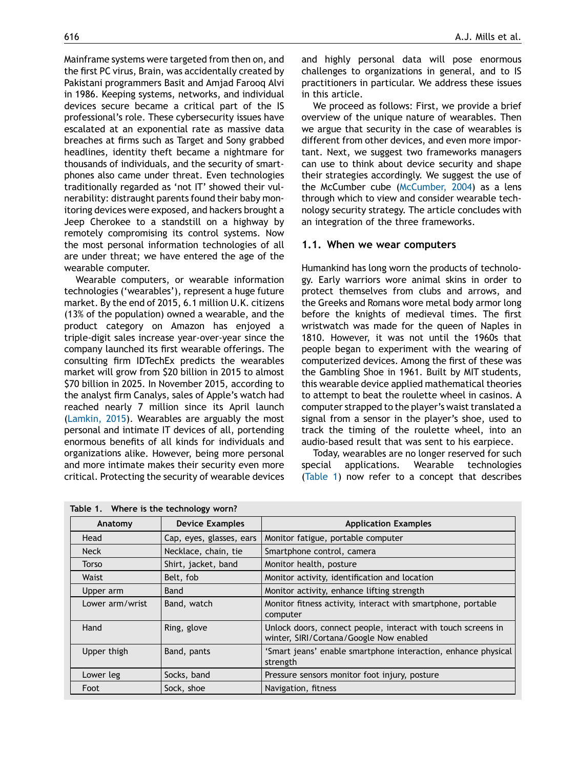Mainframe systems were targeted from then on, and the first PC virus, Brain, was accidentally created by Pakistani programmers Basit and Amjad Farooq Alvi in 1986. Keeping systems, networks, and individual devices secure became a critical part of the IS professional's role. These cybersecurity issues have escalated at an exponential rate as massive data breaches at firms such as Target and Sony grabbed headlines, identity theft became a nightmare for thousands of individuals, and the security of smartphones also came under threat. Even technologies traditionally regarded as 'not IT' showed their vulnerability: distraught parents found their baby monitoring devices were exposed, and hackers brought a Jeep Cherokee to a standstill on a highway by remotely compromising its control systems. Now the most personal information technologies of all are under threat; we have entered the age of the wearable computer.

Wearable computers, or wearable information technologies ('wearables'), represent a huge future market. By the end of 2015, 6.1 million U.K. citizens (13% of the population) owned a wearable, and the product category on Amazon has enjoyed a triple-digit sales increase year-over-year since the company launched its first wearable offerings. The consulting firm IDTechEx predicts the wearables market will grow from \$20 billion in 2015 to almost \$70 billion in 2025. In November 2015, according to the analyst firm Canalys, sales of Apple's watch had reached nearly 7 million since its April launch ([Lamkin,](#page-7-0) 2015). Wearables are arguably the most personal and intimate IT devices of all, portending enormous benefits of all kinds for individuals and organizations alike. However, being more personal and more intimate makes their security even more critical. Protecting the security of wearable devices and highly personal data will pose enormous challenges to organizations in general, and to IS practitioners in particular. We address these issues in this article.

We proceed as follows: First, we provide a brief overview of the unique nature of wearables. Then we argue that security in the case of wearables is different from other devices, and even more important. Next, we suggest two frameworks managers can use to think about device security and shape their strategies accordingly. We suggest the use of the McCumber cube ([McCumber,](#page-7-0) 2004) as a lens through which to view and consider wearable technology security strategy. The article concludes with an integration of the three frameworks.

## 1.1. When we wear computers

Humankind has long worn the products of technology. Early warriors wore animal skins in order to protect themselves from clubs and arrows, and the Greeks and Romans wore metal body armor long before the knights of medieval times. The first wristwatch was made for the queen of Naples in 1810. However, it was not until the 1960s that people began to experiment with the wearing of computerized devices. Among the first of these was the Gambling Shoe in 1961. Built by MIT students, this wearable device applied mathematical theories to attempt to beat the roulette wheel in casinos. A computer strapped to the player's waist translated a signal from a sensor in the player's shoe, used to track the timing of the roulette wheel, into an audio-based result that was sent to his earpiece.

Today, wearables are no longer reserved for such special applications. Wearable technologies (Table 1) now refer to a concept that describes

| Table 1. Writere is the technology world: |                          |                                                                                                         |  |
|-------------------------------------------|--------------------------|---------------------------------------------------------------------------------------------------------|--|
| Anatomy                                   | <b>Device Examples</b>   | <b>Application Examples</b>                                                                             |  |
| Head                                      | Cap, eyes, glasses, ears | Monitor fatigue, portable computer                                                                      |  |
| <b>Neck</b>                               | Necklace, chain, tie     | Smartphone control, camera                                                                              |  |
| Torso                                     | Shirt, jacket, band      | Monitor health, posture                                                                                 |  |
| Waist                                     | Belt, fob                | Monitor activity, identification and location                                                           |  |
| Upper arm                                 | Band                     | Monitor activity, enhance lifting strength                                                              |  |
| Lower arm/wrist                           | Band, watch              | Monitor fitness activity, interact with smartphone, portable<br>computer                                |  |
| Hand                                      | Ring, glove              | Unlock doors, connect people, interact with touch screens in<br>winter, SIRI/Cortana/Google Now enabled |  |
| Upper thigh                               | Band, pants              | 'Smart jeans' enable smartphone interaction, enhance physical<br>strength                               |  |
| Lower leg                                 | Socks, band              | Pressure sensors monitor foot injury, posture                                                           |  |
| Foot                                      | Sock, shoe               | Navigation, fitness                                                                                     |  |

Table 1. Where is the technology worn?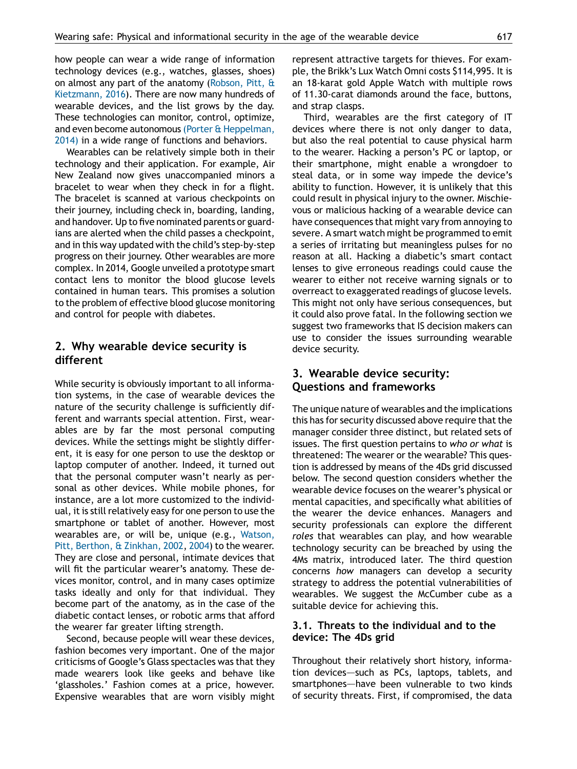how people can wear a wide range of information technology devices (e.g., watches, glasses, shoes) on almost any part of the anatomy [\(Robson,](#page-7-0) Pitt, & [Kietzmann,](#page-7-0) 2016). There are now many hundreds of wearable devices, and the list grows by the day. These technologies can monitor, control, optimize, and even become autonomous (Porter & [Heppelman,](#page-7-0) [2014\)](#page-7-0) in a wide range of functions and behaviors.

Wearables can be relatively simple both in their technology and their application. For example, Air New Zealand now gives unaccompanied minors a bracelet to wear when they check in for a flight. The bracelet is scanned at various checkpoints on their journey, including check in, boarding, landing, and handover. Up to five nominated parents or guardians are alerted when the child passes a checkpoint, and in this way updated with the child's step-by-step progress on their journey. Other wearables are more complex. In 2014, Google unveiled a prototype smart contact lens to monitor the blood glucose levels contained in human tears. This promises a solution to the problem of effective blood glucose monitoring and control for people with diabetes.

# 2. Why wearable device security is different

While security is obviously important to all information systems, in the case of wearable devices the nature of the security challenge is sufficiently different and warrants special attention. First, wearables are by far the most personal computing devices. While the settings might be slightly different, it is easy for one person to use the desktop or laptop computer of another. Indeed, it turned out that the personal computer wasn't nearly as personal as other devices. While mobile phones, for instance, are a lot more customized to the individual, it is still relatively easy for one person to use the smartphone or tablet of another. However, most wearables are, or will be, unique (e.g., [Watson,](#page-7-0) Pitt, [Berthon,](#page-7-0) & Zinkhan, 2002, [2004](#page-7-0)) to the wearer. They are close and personal, intimate devices that will fit the particular wearer's anatomy. These devices monitor, control, and in many cases optimize tasks ideally and only for that individual. They become part of the anatomy, as in the case of the diabetic contact lenses, or robotic arms that afford the wearer far greater lifting strength.

Second, because people will wear these devices, fashion becomes very important. One of the major criticisms of Google's Glass spectacles was that they made wearers look like geeks and behave like 'glassholes.' Fashion comes at a price, however. Expensive wearables that are worn visibly might represent attractive targets for thieves. For example, the Brikk's Lux Watch Omni costs \$114,995. It is an 18-karat gold Apple Watch with multiple rows of 11.30-carat diamonds around the face, buttons, and strap clasps.

Third, wearables are the first category of IT devices where there is not only danger to data, but also the real potential to cause physical harm to the wearer. Hacking a person's PC or laptop, or their smartphone, might enable a wrongdoer to steal data, or in some way impede the device's ability to function. However, it is unlikely that this could result in physical injury to the owner. Mischievous or malicious hacking of a wearable device can have consequences that might vary from annoying to severe. A smart watch might be programmed to emit a series of irritating but meaningless pulses for no reason at all. Hacking a diabetic's smart contact lenses to give erroneous readings could cause the wearer to either not receive warning signals or to overreact to exaggerated readings of glucose levels. This might not only have serious consequences, but it could also prove fatal. In the following section we suggest two frameworks that IS decision makers can use to consider the issues surrounding wearable device security.

# 3. Wearable device security: Questions and frameworks

The unique nature of wearables and the implications this has for security discussed above require that the manager consider three distinct, but related sets of issues. The first question pertains to who or what is threatened: The wearer or the wearable? This question is addressed by means of the 4Ds grid discussed below. The second question considers whether the wearable device focuses on the wearer's physical or mental capacities, and specifically what abilities of the wearer the device enhances. Managers and security professionals can explore the different roles that wearables can play, and how wearable technology security can be breached by using the 4Ms matrix, introduced later. The third question concerns how managers can develop a security strategy to address the potential vulnerabilities of wearables. We suggest the McCumber cube as a suitable device for achieving this.

## 3.1. Threats to the individual and to the device: The 4Ds grid

Throughout their relatively short history, information devices–—such as PCs, laptops, tablets, and smartphones–—have been vulnerable to two kinds of security threats. First, if compromised, the data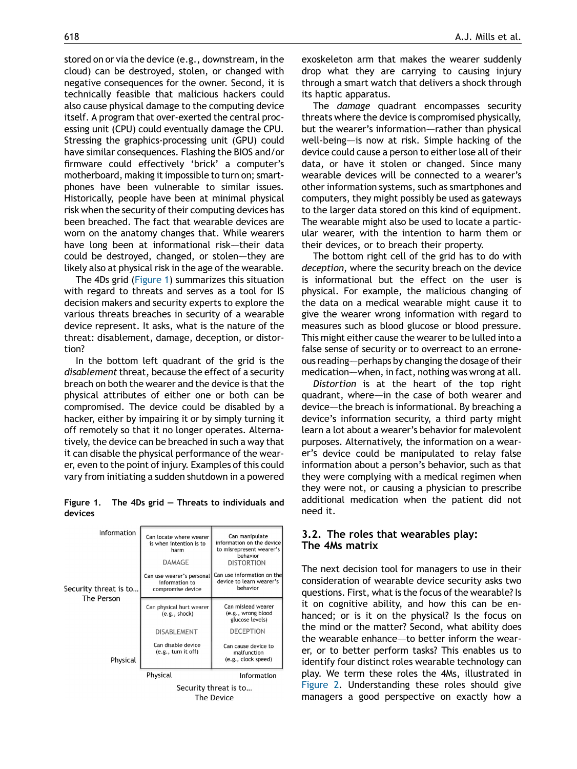stored on or via the device (e.g., downstream, in the cloud) can be destroyed, stolen, or changed with negative consequences for the owner. Second, it is technically feasible that malicious hackers could also cause physical damage to the computing device itself. A program that over-exerted the central processing unit (CPU) could eventually damage the CPU. Stressing the graphics-processing unit (GPU) could have similar consequences. Flashing the BIOS and/or firmware could effectively 'brick' a computer's motherboard, making it impossible to turn on; smartphones have been vulnerable to similar issues. Historically, people have been at minimal physical risk when the security of their computing devices has been breached. The fact that wearable devices are worn on the anatomy changes that. While wearers have long been at informational risk-their data could be destroyed, changed, or stolen-they are likely also at physical risk in the age of the wearable.

The 4Ds grid (Figure 1) summarizes this situation with regard to threats and serves as a tool for IS decision makers and security experts to explore the various threats breaches in security of a wearable device represent. It asks, what is the nature of the threat: disablement, damage, deception, or distortion?

In the bottom left quadrant of the grid is the disablement threat, because the effect of a security breach on both the wearer and the device is that the physical attributes of either one or both can be compromised. The device could be disabled by a hacker, either by impairing it or by simply turning it off remotely so that it no longer operates. Alternatively, the device can be breached in such a way that it can disable the physical performance of the wearer, even to the point of injury. Examples of this could vary from initiating a sudden shutdown in a powered

Figure 1. The 4Ds grid — Threats to individuals and devices



exoskeleton arm that makes the wearer suddenly drop what they are carrying to causing injury through a smart watch that delivers a shock through its haptic apparatus.

The damage quadrant encompasses security threats where the device is compromised physically, but the wearer's information—rather than physical well-being–—is now at risk. Simple hacking of the device could cause a person to either lose all of their data, or have it stolen or changed. Since many wearable devices will be connected to a wearer's other information systems, such as smartphones and computers, they might possibly be used as gateways to the larger data stored on this kind of equipment. The wearable might also be used to locate a particular wearer, with the intention to harm them or their devices, or to breach their property.

The bottom right cell of the grid has to do with deception, where the security breach on the device is informational but the effect on the user is physical. For example, the malicious changing of the data on a medical wearable might cause it to give the wearer wrong information with regard to measures such as blood glucose or blood pressure. This might either cause the wearer to be lulled into a false sense of security or to overreact to an erroneous reading—perhaps by changing the dosage of their medication—when, in fact, nothing was wrong at all.

Distortion is at the heart of the top right quadrant, where–—in the case of both wearer and device–—the breach is informational. By breaching a device's information security, a third party might learn a lot about a wearer's behavior for malevolent purposes. Alternatively, the information on a wearer's device could be manipulated to relay false information about a person's behavior, such as that they were complying with a medical regimen when they were not, or causing a physician to prescribe additional medication when the patient did not need it.

## 3.2. The roles that wearables play: The 4Ms matrix

The next decision tool for managers to use in their consideration of wearable device security asks two questions. First, what is the focus of the wearable? Is it on cognitive ability, and how this can be enhanced; or is it on the physical? Is the focus on the mind or the matter? Second, what ability does the wearable enhance—to better inform the wearer, or to better perform tasks? This enables us to identify four distinct roles wearable technology can play. We term these roles the 4Ms, illustrated in [Figure](#page-4-0) 2. Understanding these roles should give managers a good perspective on exactly how a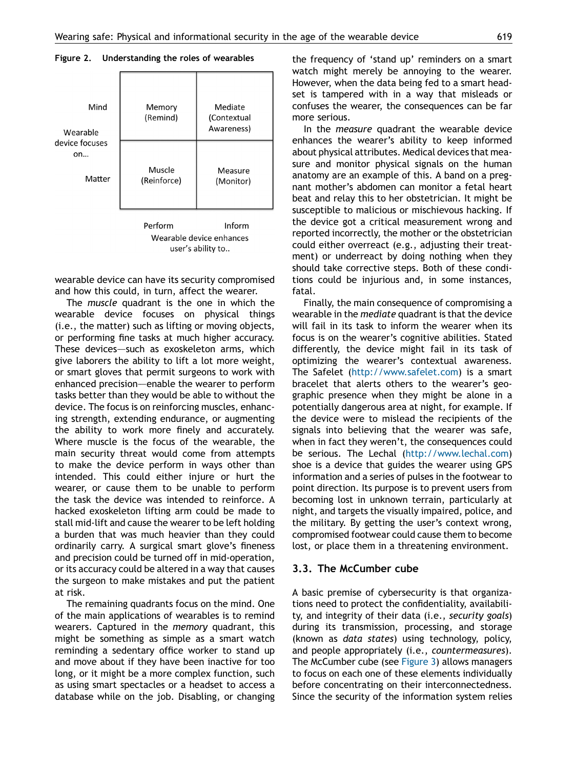| Mind<br>Wearable               | Memory<br>(Remind)    | Mediate<br>(Contextual<br>Awareness)                    |
|--------------------------------|-----------------------|---------------------------------------------------------|
| device focuses<br>on<br>Matter | Muscle<br>(Reinforce) | Measure<br>(Monitor)                                    |
|                                | Perform               | Inform<br>Wearable device enhances<br>user's ability to |

#### <span id="page-4-0"></span>Figure 2. Understanding the roles of wearables

wearable device can have its security compromised and how this could, in turn, affect the wearer.

The muscle quadrant is the one in which the wearable device focuses on physical things (i.e., the matter) such as lifting or moving objects, or performing fine tasks at much higher accuracy. These devices–—such as exoskeleton arms, which give laborers the ability to lift a lot more weight, or smart gloves that permit surgeons to work with enhanced precision–—enable the wearer to perform tasks better than they would be able to without the device. The focus is on reinforcing muscles, enhancing strength, extending endurance, or augmenting the ability to work more finely and accurately. Where muscle is the focus of the wearable, the main security threat would come from attempts to make the device perform in ways other than intended. This could either injure or hurt the wearer, or cause them to be unable to perform the task the device was intended to reinforce. A hacked exoskeleton lifting arm could be made to stall mid-lift and cause the wearer to be left holding a burden that was much heavier than they could ordinarily carry. A surgical smart glove's fineness and precision could be turned off in mid-operation, or its accuracy could be altered in a way that causes the surgeon to make mistakes and put the patient at risk.

The remaining quadrants focus on the mind. One of the main applications of wearables is to remind wearers. Captured in the memory quadrant, this might be something as simple as a smart watch reminding a sedentary office worker to stand up and move about if they have been inactive for too long, or it might be a more complex function, such as using smart spectacles or a headset to access a database while on the job. Disabling, or changing the frequency of 'stand up' reminders on a smart watch might merely be annoying to the wearer. However, when the data being fed to a smart headset is tampered with in a way that misleads or confuses the wearer, the consequences can be far more serious.

In the measure quadrant the wearable device enhances the wearer's ability to keep informed about physical attributes. Medical devices that measure and monitor physical signals on the human anatomy are an example of this. A band on a pregnant mother's abdomen can monitor a fetal heart beat and relay this to her obstetrician. It might be susceptible to malicious or mischievous hacking. If the device got a critical measurement wrong and reported incorrectly, the mother or the obstetrician could either overreact (e.g., adjusting their treatment) or underreact by doing nothing when they should take corrective steps. Both of these conditions could be injurious and, in some instances, fatal.

Finally, the main consequence of compromising a wearable in the mediate quadrant is that the device will fail in its task to inform the wearer when its focus is on the wearer's cognitive abilities. Stated differently, the device might fail in its task of optimizing the wearer's contextual awareness. The Safelet [\(http://www.safelet.com](http://www.safelet.com/)) is a smart bracelet that alerts others to the wearer's geographic presence when they might be alone in a potentially dangerous area at night, for example. If the device were to mislead the recipients of the signals into believing that the wearer was safe, when in fact they weren't, the consequences could be serious. The Lechal ([http://www.lechal.com](http://www.lechal.com/)) shoe is a device that guides the wearer using GPS information and a series of pulses in the footwear to point direction. Its purpose is to prevent users from becoming lost in unknown terrain, particularly at night, and targets the visually impaired, police, and the military. By getting the user's context wrong, compromised footwear could cause them to become lost, or place them in a threatening environment.

## 3.3. The McCumber cube

A basic premise of cybersecurity is that organizations need to protect the confidentiality, availability, and integrity of their data (i.e., security goals) during its transmission, processing, and storage (known as data states) using technology, policy, and people appropriately (i.e., countermeasures). The McCumber cube (see [Figure](#page-5-0) 3) allows managers to focus on each one of these elements individually before concentrating on their interconnectedness. Since the security of the information system relies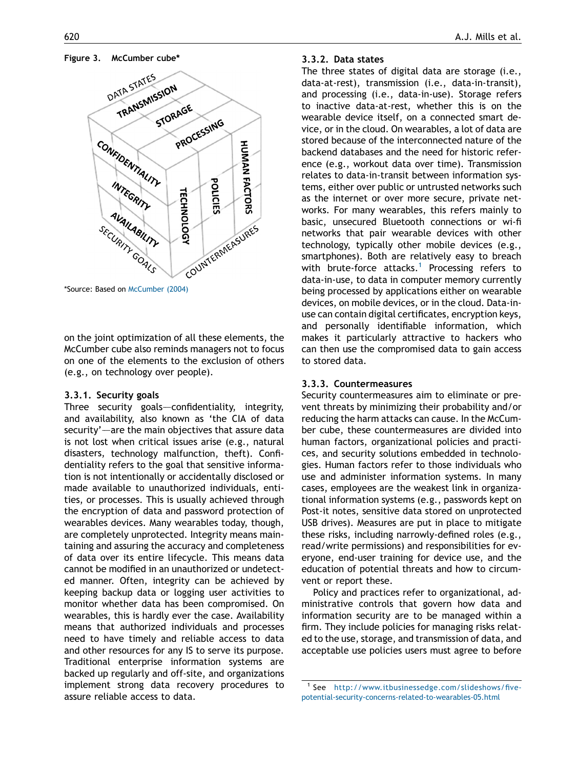<span id="page-5-0"></span>



\*Source: Based on McCumber (2004)

on the joint optimization of all these elements, the McCumber cube also reminds managers not to focus on one of the elements to the exclusion of others (e.g., on technology over people).

#### 3.3.1. Security goals

Three security goals-confidentiality, integrity, and availability, also known as 'the CIA of data security'–—are the main objectives that assure data is not lost when critical issues arise (e.g., natural disasters, technology malfunction, theft). Confidentiality refers to the goal that sensitive information is not intentionally or accidentally disclosed or made available to unauthorized individuals, entities, or processes. This is usually achieved through the encryption of data and password protection of wearables devices. Many wearables today, though, are completely unprotected. Integrity means maintaining and assuring the accuracy and completeness of data over its entire lifecycle. This means data cannot be modified in an unauthorized or undetected manner. Often, integrity can be achieved by keeping backup data or logging user activities to monitor whether data has been compromised. On wearables, this is hardly ever the case. Availability means that authorized individuals and processes need to have timely and reliable access to data and other resources for any IS to serve its purpose. Traditional enterprise information systems are backed up regularly and off-site, and organizations implement strong data recovery procedures to assure reliable access to data.

#### 3.3.2. Data states

The three states of digital data are storage (i.e., data-at-rest), transmission (i.e., data-in-transit), and processing (i.e., data-in-use). Storage refers to inactive data-at-rest, whether this is on the wearable device itself, on a connected smart device, or in the cloud. On wearables, a lot of data are stored because of the interconnected nature of the backend databases and the need for historic reference (e.g., workout data over time). Transmission relates to data-in-transit between information systems, either over public or untrusted networks such as the internet or over more secure, private networks. For many wearables, this refers mainly to basic, unsecured Bluetooth connections or wi-fi networks that pair wearable devices with other technology, typically other mobile devices (e.g., smartphones). Both are relatively easy to breach with brute-force attacks.<sup>1</sup> Processing refers to data-in-use, to data in computer memory currently being processed by applications either on wearable devices, on mobile devices, or in the cloud. Data-inuse can contain digital certificates, encryption keys, and personally identifiable information, which makes it particularly attractive to hackers who can then use the compromised data to gain access to stored data.

#### 3.3.3. Countermeasures

Security countermeasures aim to eliminate or prevent threats by minimizing their probability and/or reducing the harm attacks can cause. In the McCumber cube, these countermeasures are divided into human factors, organizational policies and practices, and security solutions embedded in technologies. Human factors refer to those individuals who use and administer information systems. In many cases, employees are the weakest link in organizational information systems (e.g., passwords kept on Post-it notes, sensitive data stored on unprotected USB drives). Measures are put in place to mitigate these risks, including narrowly-defined roles (e.g., read/write permissions) and responsibilities for everyone, end-user training for device use, and the education of potential threats and how to circumvent or report these.

Policy and practices refer to organizational, administrative controls that govern how data and information security are to be managed within a firm. They include policies for managing risks related to the use, storage, and transmission of data, and acceptable use policies users must agree to before

<sup>1</sup> See [http://www.itbusinessedge.com/slideshows/five](http://www.itbusinessedge.com/slideshows/five-potential-security-concerns-related-to-wearables-05.html)[potential-security-concerns-related-to-wearables-05.html](http://www.itbusinessedge.com/slideshows/five-potential-security-concerns-related-to-wearables-05.html)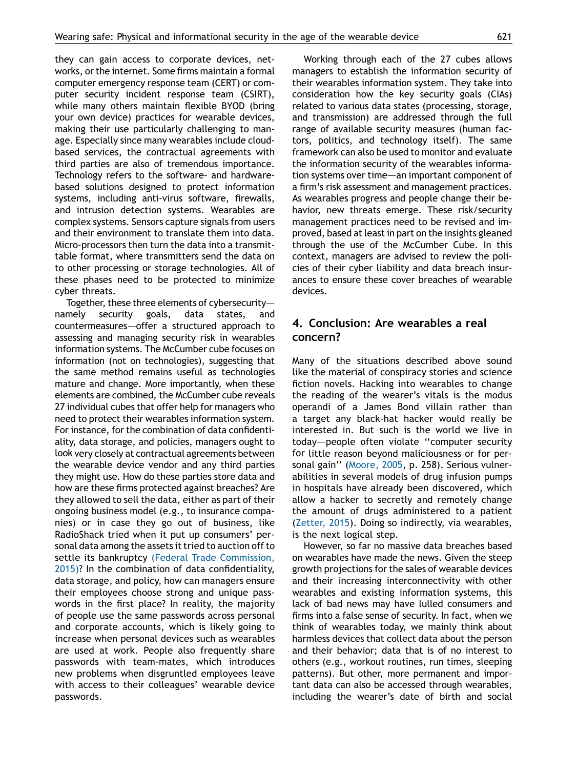they can gain access to corporate devices, networks, or the internet. Some firms maintain a formal computer emergency response team (CERT) or computer security incident response team (CSIRT), while many others maintain flexible BYOD (bring your own device) practices for wearable devices, making their use particularly challenging to manage. Especially since many wearables include cloudbased services, the contractual agreements with third parties are also of tremendous importance. Technology refers to the software- and hardwarebased solutions designed to protect information systems, including anti-virus software, firewalls, and intrusion detection systems. Wearables are complex systems. Sensors capture signals from users and their environment to translate them into data. Micro-processors then turn the data into a transmittable format, where transmitters send the data on to other processing or storage technologies. All of these phases need to be protected to minimize cyber threats.

Together, these three elements of cybersecurity namely security goals, data states, and countermeasures–—offer a structured approach to assessing and managing security risk in wearables information systems. The McCumber cube focuses on information (not on technologies), suggesting that the same method remains useful as technologies mature and change. More importantly, when these elements are combined, the McCumber cube reveals 27 individual cubes that offer help for managers who need to protect their wearables information system. For instance, for the combination of data confidentiality, data storage, and policies, managers ought to look very closely at contractual agreements between the wearable device vendor and any third parties they might use. How do these parties store data and how are these firms protected against breaches? Are they allowed to sell the data, either as part of their ongoing business model (e.g., to insurance companies) or in case they go out of business, like RadioShack tried when it put up consumers' personal data among the assets it tried to auction off to settle its bankruptcy (Federal Trade [Commission,](#page-7-0) [2015\)?](#page-7-0) In the combination of data confidentiality, data storage, and policy, how can managers ensure their employees choose strong and unique passwords in the first place? In reality, the majority of people use the same passwords across personal and corporate accounts, which is likely going to increase when personal devices such as wearables are used at work. People also frequently share passwords with team-mates, which introduces new problems when disgruntled employees leave with access to their colleagues' wearable device passwords.

Working through each of the 27 cubes allows managers to establish the information security of their wearables information system. They take into consideration how the key security goals (CIAs) related to various data states (processing, storage, and transmission) are addressed through the full range of available security measures (human factors, politics, and technology itself). The same framework can also be used to monitor and evaluate the information security of the wearables information systems over time–—an important component of a firm's risk assessment and management practices. As wearables progress and people change their behavior, new threats emerge. These risk/security management practices need to be revised and improved, based at least in part on the insights gleaned through the use of the McCumber Cube. In this context, managers are advised to review the policies of their cyber liability and data breach insurances to ensure these cover breaches of wearable devices.

# 4. Conclusion: Are wearables a real concern?

Many of the situations described above sound like the material of conspiracy stories and science fiction novels. Hacking into wearables to change the reading of the wearer's vitals is the modus operandi of a James Bond villain rather than a target any black-hat hacker would really be interested in. But such is the world we live in today–—people often violate ''computer security for little reason beyond maliciousness or for personal gain'' [\(Moore,](#page-7-0) 2005, p. 258). Serious vulnerabilities in several models of drug infusion pumps in hospitals have already been discovered, which allow a hacker to secretly and remotely change the amount of drugs administered to a patient ([Zetter,](#page-7-0) 2015). Doing so indirectly, via wearables, is the next logical step.

However, so far no massive data breaches based on wearables have made the news. Given the steep growth projections for the sales of wearable devices and their increasing interconnectivity with other wearables and existing information systems, this lack of bad news may have lulled consumers and firms into a false sense of security. In fact, when we think of wearables today, we mainly think about harmless devices that collect data about the person and their behavior; data that is of no interest to others (e.g., workout routines, run times, sleeping patterns). But other, more permanent and important data can also be accessed through wearables, including the wearer's date of birth and social